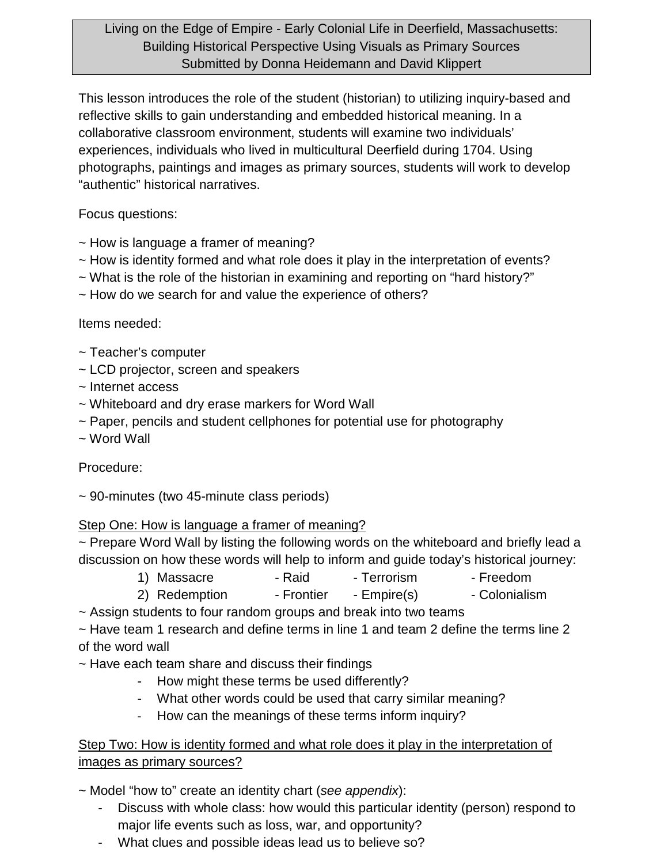### Living on the Edge of Empire - Early Colonial Life in Deerfield, Massachusetts: Building Historical Perspective Using Visuals as Primary Sources Submitted by Donna Heidemann and David Klippert

This lesson introduces the role of the student (historian) to utilizing inquiry-based and reflective skills to gain understanding and embedded historical meaning. In a collaborative classroom environment, students will examine two individuals' experiences, individuals who lived in multicultural Deerfield during 1704. Using photographs, paintings and images as primary sources, students will work to develop "authentic" historical narratives.

Focus questions:

- ~ How is language a framer of meaning?
- ~ How is identity formed and what role does it play in the interpretation of events?
- ~ What is the role of the historian in examining and reporting on "hard history?"
- ~ How do we search for and value the experience of others?

#### Items needed:

- ~ Teacher's computer
- ~ LCD projector, screen and speakers
- ~ Internet access
- ~ Whiteboard and dry erase markers for Word Wall
- ~ Paper, pencils and student cellphones for potential use for photography
- ~ Word Wall

# Procedure:

~ 90-minutes (two 45-minute class periods)

#### Step One: How is language a framer of meaning?

~ Prepare Word Wall by listing the following words on the whiteboard and briefly lead a discussion on how these words will help to inform and guide today's historical journey:

- 1) Massacre Raid Terrorism Freedom
- 2) Redemption Frontier Empire(s) Colonialism

~ Assign students to four random groups and break into two teams

~ Have team 1 research and define terms in line 1 and team 2 define the terms line 2 of the word wall

~ Have each team share and discuss their findings

- How might these terms be used differently?
- What other words could be used that carry similar meaning?
- How can the meanings of these terms inform inquiry?

#### Step Two: How is identity formed and what role does it play in the interpretation of images as primary sources?

~ Model "how to" create an identity chart (*see appendix*):

- Discuss with whole class: how would this particular identity (person) respond to major life events such as loss, war, and opportunity?
- What clues and possible ideas lead us to believe so?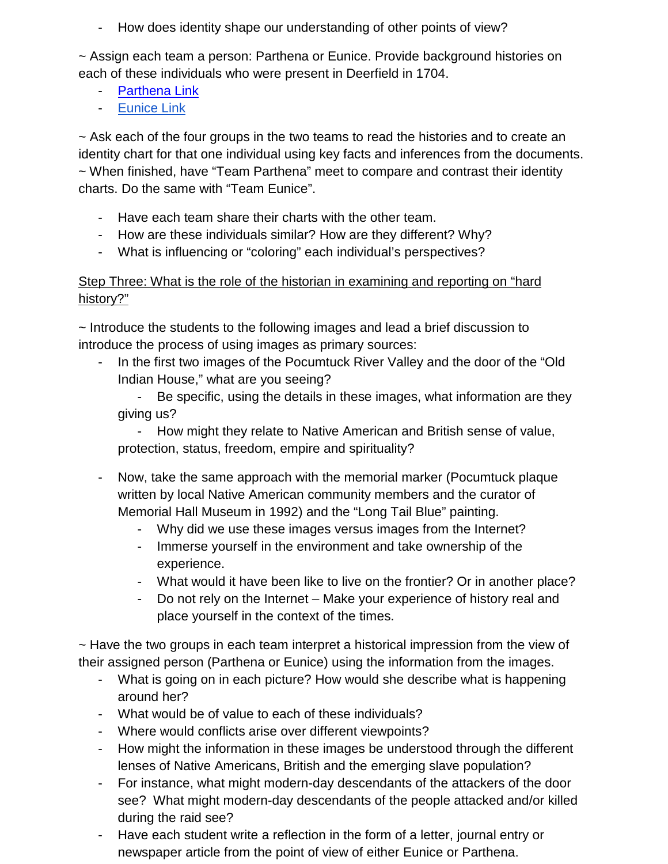- How does identity shape our understanding of other points of view?

~ Assign each team a person: Parthena or Eunice. Provide background histories on each of these individuals who were present in Deerfield in 1704.

- [Parthena Link](http://1704.deerfield.history.museum/popups/people.do?shortName=Parthena)
- [Eunice Link](http://1704.deerfield.history.museum/popups/people.do?shortName=EuniceKWilliams)

~ Ask each of the four groups in the two teams to read the histories and to create an identity chart for that one individual using key facts and inferences from the documents. ~ When finished, have "Team Parthena" meet to compare and contrast their identity charts. Do the same with "Team Eunice".

- Have each team share their charts with the other team.
- How are these individuals similar? How are they different? Why?
- What is influencing or "coloring" each individual's perspectives?

### Step Three: What is the role of the historian in examining and reporting on "hard history?"

~ Introduce the students to the following images and lead a brief discussion to introduce the process of using images as primary sources:

In the first two images of the Pocumtuck River Valley and the door of the "Old" Indian House," what are you seeing?

- Be specific, using the details in these images, what information are they giving us?

- How might they relate to Native American and British sense of value, protection, status, freedom, empire and spirituality?

- Now, take the same approach with the memorial marker (Pocumtuck plaque written by local Native American community members and the curator of Memorial Hall Museum in 1992) and the "Long Tail Blue" painting.
	- Why did we use these images versus images from the Internet?
	- Immerse yourself in the environment and take ownership of the experience.
	- What would it have been like to live on the frontier? Or in another place?
	- Do not rely on the Internet Make your experience of history real and place yourself in the context of the times.

~ Have the two groups in each team interpret a historical impression from the view of their assigned person (Parthena or Eunice) using the information from the images.

- What is going on in each picture? How would she describe what is happening around her?
- What would be of value to each of these individuals?
- Where would conflicts arise over different viewpoints?
- How might the information in these images be understood through the different lenses of Native Americans, British and the emerging slave population?
- For instance, what might modern-day descendants of the attackers of the door see? What might modern-day descendants of the people attacked and/or killed during the raid see?
- Have each student write a reflection in the form of a letter, journal entry or newspaper article from the point of view of either Eunice or Parthena.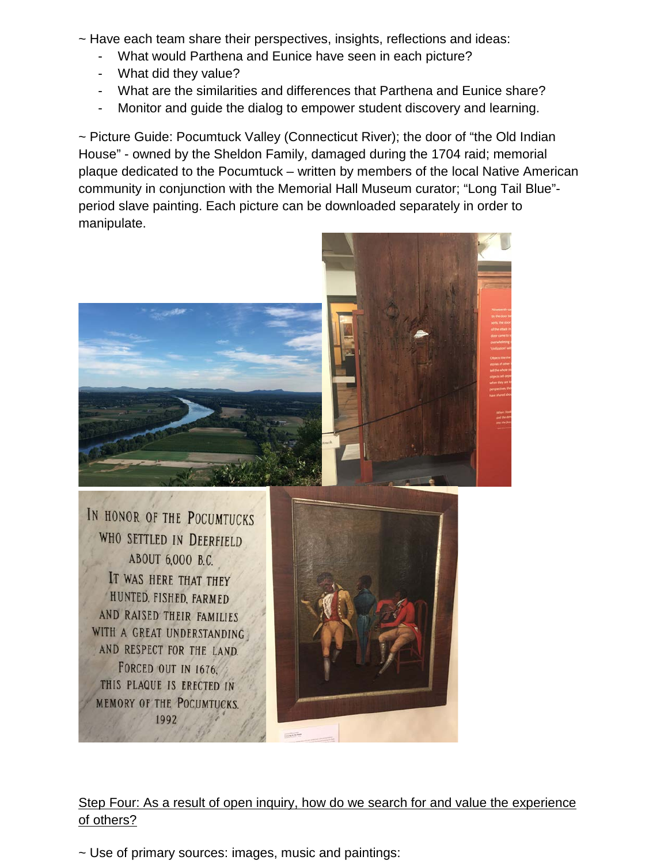- ~ Have each team share their perspectives, insights, reflections and ideas:
	- What would Parthena and Eunice have seen in each picture?
	- What did they value?
	- What are the similarities and differences that Parthena and Eunice share?
	- Monitor and guide the dialog to empower student discovery and learning.

~ Picture Guide: Pocumtuck Valley (Connecticut River); the door of "the Old Indian House" - owned by the Sheldon Family, damaged during the 1704 raid; memorial plaque dedicated to the Pocumtuck – written by members of the local Native American community in conjunction with the Memorial Hall Museum curator; "Long Tail Blue" period slave painting. Each picture can be downloaded separately in order to manipulate.



# Step Four: As a result of open inquiry, how do we search for and value the experience of others?

~ Use of primary sources: images, music and paintings: